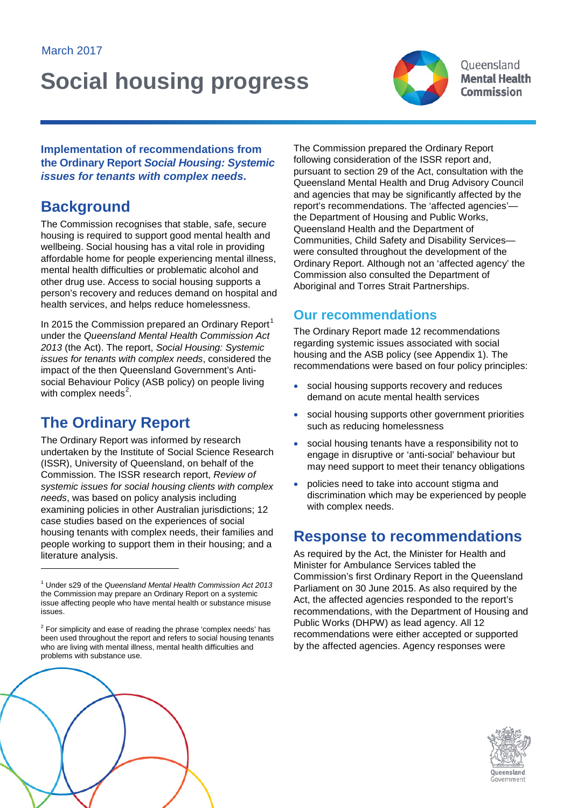# **Social housing progress**



Oueensland **Mental Health Commission** 

**Implementation of recommendations from the Ordinary Report** *Social Housing: Systemic issues for tenants with complex needs***.**

# **Background**

The Commission recognises that stable, safe, secure housing is required to support good mental health and wellbeing. Social housing has a vital role in providing affordable home for people experiencing mental illness, mental health difficulties or problematic alcohol and other drug use. Access to social housing supports a person's recovery and reduces demand on hospital and health services, and helps reduce homelessness.

In 20[1](#page-0-0)5 the Commission prepared an Ordinary Report<sup>1</sup> under the *Queensland Mental Health Commission Act 2013* (the Act). The report, *Social Housing: Systemic issues for tenants with complex needs*, considered the impact of the then Queensland Government's Antisocial Behaviour Policy (ASB policy) on people living with complex needs<sup>[2](#page-0-1)</sup>.

# **The Ordinary Report**

The Ordinary Report was informed by research undertaken by the Institute of Social Science Research (ISSR), University of Queensland, on behalf of the Commission. The ISSR research report, *Review of systemic issues for social housing clients with complex needs*, was based on policy analysis including examining policies in other Australian jurisdictions; 12 case studies based on the experiences of social housing tenants with complex needs, their families and people working to support them in their housing; and a literature analysis.

The Commission prepared the Ordinary Report following consideration of the ISSR report and, pursuant to section 29 of the Act, consultation with the Queensland Mental Health and Drug Advisory Council and agencies that may be significantly affected by the report's recommendations. The 'affected agencies' the Department of Housing and Public Works, Queensland Health and the Department of Communities, Child Safety and Disability Services were consulted throughout the development of the Ordinary Report. Although not an 'affected agency' the Commission also consulted the Department of Aboriginal and Torres Strait Partnerships.

# **Our recommendations**

The Ordinary Report made 12 recommendations regarding systemic issues associated with social housing and the ASB policy (see Appendix 1). The recommendations were based on four policy principles:

- social housing supports recovery and reduces demand on acute mental health services
- social housing supports other government priorities such as reducing homelessness
- social housing tenants have a responsibility not to engage in disruptive or 'anti-social' behaviour but may need support to meet their tenancy obligations
- policies need to take into account stigma and discrimination which may be experienced by people with complex needs.

# **Response to recommendations**

As required by the Act, the Minister for Health and Minister for Ambulance Services tabled the Commission's first Ordinary Report in the Queensland Parliament on 30 June 2015. As also required by the Act, the affected agencies responded to the report's recommendations, with the Department of Housing and Public Works (DHPW) as lead agency. All 12 recommendations were either accepted or supported by the affected agencies. Agency responses were





<span id="page-0-0"></span><sup>1</sup> Under s29 of the *Queensland Mental Health Commission Act 2013* the Commission may prepare an Ordinary Report on a systemic issue affecting people who have mental health or substance misuse issues.

<span id="page-0-1"></span> $2$  For simplicity and ease of reading the phrase 'complex needs' has been used throughout the report and refers to social housing tenants who are living with mental illness, mental health difficulties and problems with substance use.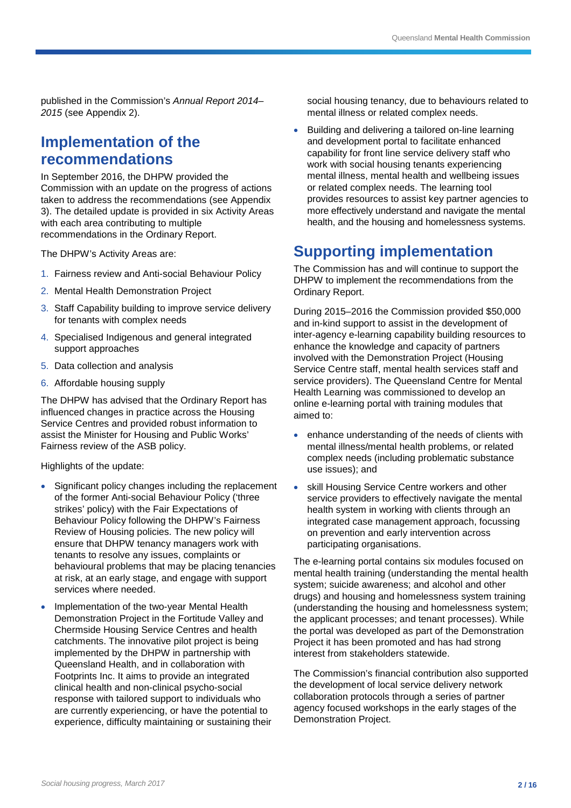published in the Commission's *Annual Report 2014– 2015* (see Appendix 2).

# **Implementation of the recommendations**

In September 2016, the DHPW provided the Commission with an update on the progress of actions taken to address the recommendations (see Appendix 3). The detailed update is provided in six Activity Areas with each area contributing to multiple recommendations in the Ordinary Report.

The DHPW's Activity Areas are:

- 1. Fairness review and Anti-social Behaviour Policy
- 2. Mental Health Demonstration Project
- 3. Staff Capability building to improve service delivery for tenants with complex needs
- 4. Specialised Indigenous and general integrated support approaches
- 5. Data collection and analysis
- 6. Affordable housing supply

The DHPW has advised that the Ordinary Report has influenced changes in practice across the Housing Service Centres and provided robust information to assist the Minister for Housing and Public Works' Fairness review of the ASB policy.

Highlights of the update:

- Significant policy changes including the replacement of the former Anti-social Behaviour Policy ('three strikes' policy) with the Fair Expectations of Behaviour Policy following the DHPW's Fairness Review of Housing policies. The new policy will ensure that DHPW tenancy managers work with tenants to resolve any issues, complaints or behavioural problems that may be placing tenancies at risk, at an early stage, and engage with support services where needed.
- Implementation of the two-year Mental Health Demonstration Project in the Fortitude Valley and Chermside Housing Service Centres and health catchments. The innovative pilot project is being implemented by the DHPW in partnership with Queensland Health, and in collaboration with Footprints Inc. It aims to provide an integrated clinical health and non-clinical psycho-social response with tailored support to individuals who are currently experiencing, or have the potential to experience, difficulty maintaining or sustaining their

social housing tenancy, due to behaviours related to mental illness or related complex needs.

• Building and delivering a tailored on-line learning and development portal to facilitate enhanced capability for front line service delivery staff who work with social housing tenants experiencing mental illness, mental health and wellbeing issues or related complex needs. The learning tool provides resources to assist key partner agencies to more effectively understand and navigate the mental health, and the housing and homelessness systems.

# **Supporting implementation**

The Commission has and will continue to support the DHPW to implement the recommendations from the Ordinary Report.

During 2015–2016 the Commission provided \$50,000 and in-kind support to assist in the development of inter-agency e-learning capability building resources to enhance the knowledge and capacity of partners involved with the Demonstration Project (Housing Service Centre staff, mental health services staff and service providers). The Queensland Centre for Mental Health Learning was commissioned to develop an online e-learning portal with training modules that aimed to:

- enhance understanding of the needs of clients with mental illness/mental health problems, or related complex needs (including problematic substance use issues); and
- skill Housing Service Centre workers and other service providers to effectively navigate the mental health system in working with clients through an integrated case management approach, focussing on prevention and early intervention across participating organisations.

The e-learning portal contains six modules focused on mental health training (understanding the mental health system; suicide awareness; and alcohol and other drugs) and housing and homelessness system training (understanding the housing and homelessness system; the applicant processes; and tenant processes). While the portal was developed as part of the Demonstration Project it has been promoted and has had strong interest from stakeholders statewide.

The Commission's financial contribution also supported the development of local service delivery network collaboration protocols through a series of partner agency focused workshops in the early stages of the Demonstration Project.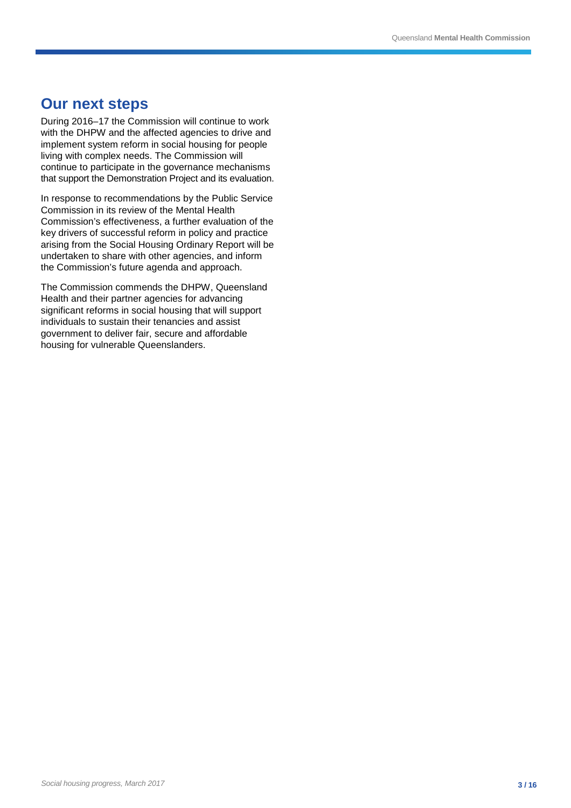# **Our next steps**

During 2016–17 the Commission will continue to work with the DHPW and the affected agencies to drive and implement system reform in social housing for people living with complex needs. The Commission will continue to participate in the governance mechanisms that support the Demonstration Project and its evaluation.

In response to recommendations by the Public Service Commission in its review of the Mental Health Commission's effectiveness, a further evaluation of the key drivers of successful reform in policy and practice arising from the Social Housing Ordinary Report will be undertaken to share with other agencies, and inform the Commission's future agenda and approach.

The Commission commends the DHPW, Queensland Health and their partner agencies for advancing significant reforms in social housing that will support individuals to sustain their tenancies and assist government to deliver fair, secure and affordable housing for vulnerable Queenslanders.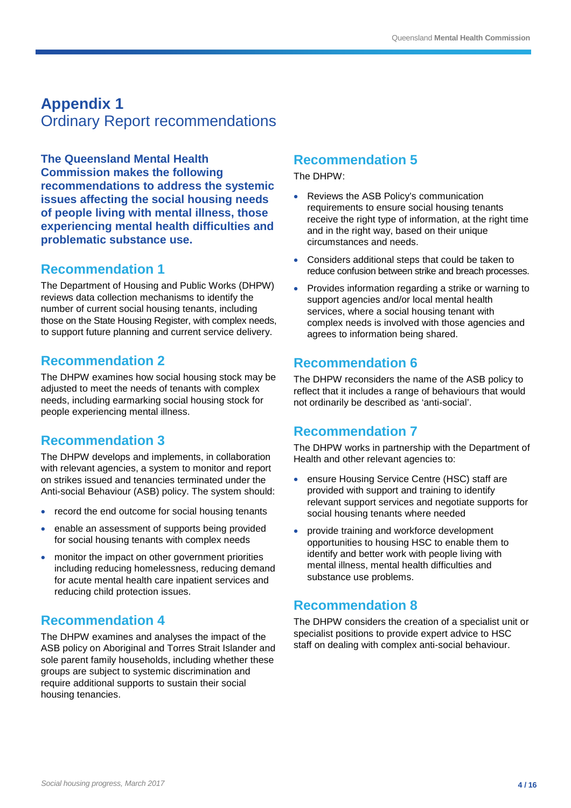# **Appendix 1** Ordinary Report recommendations

**The Queensland Mental Health Commission makes the following recommendations to address the systemic issues affecting the social housing needs of people living with mental illness, those experiencing mental health difficulties and problematic substance use.**

### **Recommendation 1**

The Department of Housing and Public Works (DHPW) reviews data collection mechanisms to identify the number of current social housing tenants, including those on the State Housing Register, with complex needs, to support future planning and current service delivery.

# **Recommendation 2**

The DHPW examines how social housing stock may be adjusted to meet the needs of tenants with complex needs, including earmarking social housing stock for people experiencing mental illness.

# **Recommendation 3**

The DHPW develops and implements, in collaboration with relevant agencies, a system to monitor and report on strikes issued and tenancies terminated under the Anti-social Behaviour (ASB) policy. The system should:

- record the end outcome for social housing tenants
- enable an assessment of supports being provided for social housing tenants with complex needs
- monitor the impact on other government priorities including reducing homelessness, reducing demand for acute mental health care inpatient services and reducing child protection issues.

# **Recommendation 4**

The DHPW examines and analyses the impact of the ASB policy on Aboriginal and Torres Strait Islander and sole parent family households, including whether these groups are subject to systemic discrimination and require additional supports to sustain their social housing tenancies.

# **Recommendation 5**

The DHPW:

- Reviews the ASB Policy's communication requirements to ensure social housing tenants receive the right type of information, at the right time and in the right way, based on their unique circumstances and needs.
- Considers additional steps that could be taken to reduce confusion between strike and breach processes.
- Provides information regarding a strike or warning to support agencies and/or local mental health services, where a social housing tenant with complex needs is involved with those agencies and agrees to information being shared.

# **Recommendation 6**

The DHPW reconsiders the name of the ASB policy to reflect that it includes a range of behaviours that would not ordinarily be described as 'anti-social'.

# **Recommendation 7**

The DHPW works in partnership with the Department of Health and other relevant agencies to:

- ensure Housing Service Centre (HSC) staff are provided with support and training to identify relevant support services and negotiate supports for social housing tenants where needed
- provide training and workforce development opportunities to housing HSC to enable them to identify and better work with people living with mental illness, mental health difficulties and substance use problems.

# **Recommendation 8**

The DHPW considers the creation of a specialist unit or specialist positions to provide expert advice to HSC staff on dealing with complex anti-social behaviour.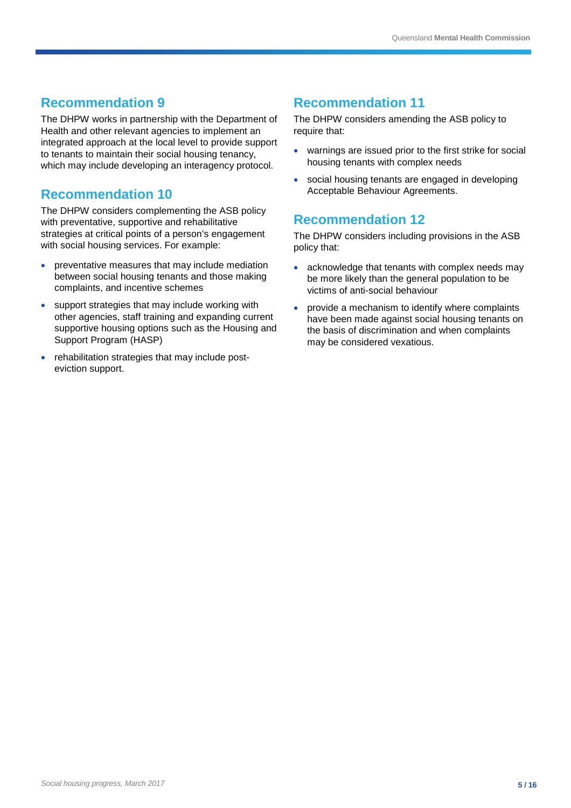# **Recommendation 9**

The DHPW works in partnership with the Department of Health and other relevant agencies to implement an integrated approach at the local level to provide support to tenants to maintain their social housing tenancy, which may include developing an interagency protocol.

# **Recommendation 10**

The DHPW considers complementing the ASB policy with preventative, supportive and rehabilitative strategies at critical points of a person's engagement with social housing services. For example:

- preventative measures that may include mediation between social housing tenants and those making complaints, and incentive schemes
- support strategies that may include working with other agencies, staff training and expanding current supportive housing options such as the Housing and Support Program (HASP)
- rehabilitation strategies that may include posteviction support.

# **Recommendation 11**

The DHPW considers amending the ASB policy to require that:

- warnings are issued prior to the first strike for social housing tenants with complex needs
- social housing tenants are engaged in developing Acceptable Behaviour Agreements.

# **Recommendation 12**

The DHPW considers including provisions in the ASB policy that:

- acknowledge that tenants with complex needs may be more likely than the general population to be victims of anti-social behaviour
- provide a mechanism to identify where complaints have been made against social housing tenants on the basis of discrimination and when complaints may be considered vexatious.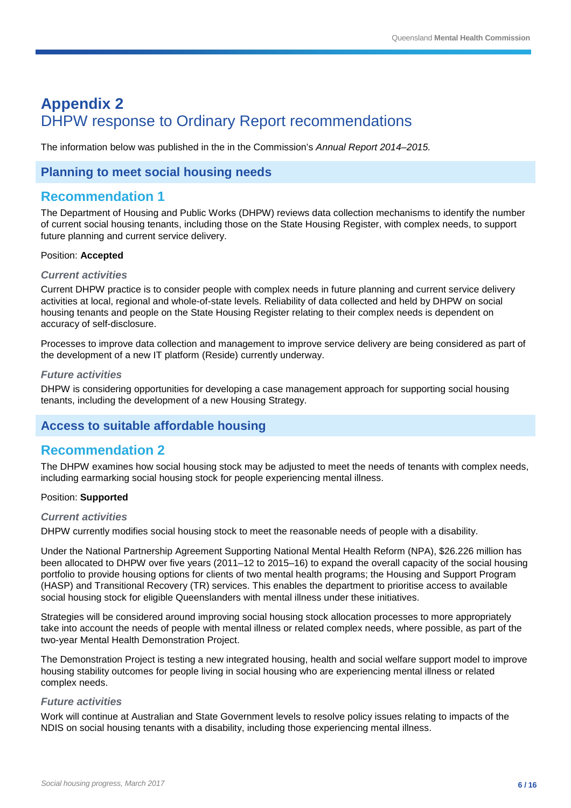# **Appendix 2** DHPW response to Ordinary Report recommendations

The information below was published in the in the Commission's *Annual Report 2014–2015.*

### **Planning to meet social housing needs**

### **Recommendation 1**

The Department of Housing and Public Works (DHPW) reviews data collection mechanisms to identify the number of current social housing tenants, including those on the State Housing Register, with complex needs, to support future planning and current service delivery.

#### Position: **Accepted**

#### *Current activities*

Current DHPW practice is to consider people with complex needs in future planning and current service delivery activities at local, regional and whole-of-state levels. Reliability of data collected and held by DHPW on social housing tenants and people on the State Housing Register relating to their complex needs is dependent on accuracy of self-disclosure.

Processes to improve data collection and management to improve service delivery are being considered as part of the development of a new IT platform (Reside) currently underway.

#### *Future activities*

DHPW is considering opportunities for developing a case management approach for supporting social housing tenants, including the development of a new Housing Strategy.

### **Access to suitable affordable housing**

### **Recommendation 2**

The DHPW examines how social housing stock may be adjusted to meet the needs of tenants with complex needs, including earmarking social housing stock for people experiencing mental illness.

#### Position: **Supported**

#### *Current activities*

DHPW currently modifies social housing stock to meet the reasonable needs of people with a disability.

Under the National Partnership Agreement Supporting National Mental Health Reform (NPA), \$26.226 million has been allocated to DHPW over five years (2011–12 to 2015–16) to expand the overall capacity of the social housing portfolio to provide housing options for clients of two mental health programs; the Housing and Support Program (HASP) and Transitional Recovery (TR) services. This enables the department to prioritise access to available social housing stock for eligible Queenslanders with mental illness under these initiatives.

Strategies will be considered around improving social housing stock allocation processes to more appropriately take into account the needs of people with mental illness or related complex needs, where possible, as part of the two-year Mental Health Demonstration Project.

The Demonstration Project is testing a new integrated housing, health and social welfare support model to improve housing stability outcomes for people living in social housing who are experiencing mental illness or related complex needs.

#### *Future activities*

Work will continue at Australian and State Government levels to resolve policy issues relating to impacts of the NDIS on social housing tenants with a disability, including those experiencing mental illness.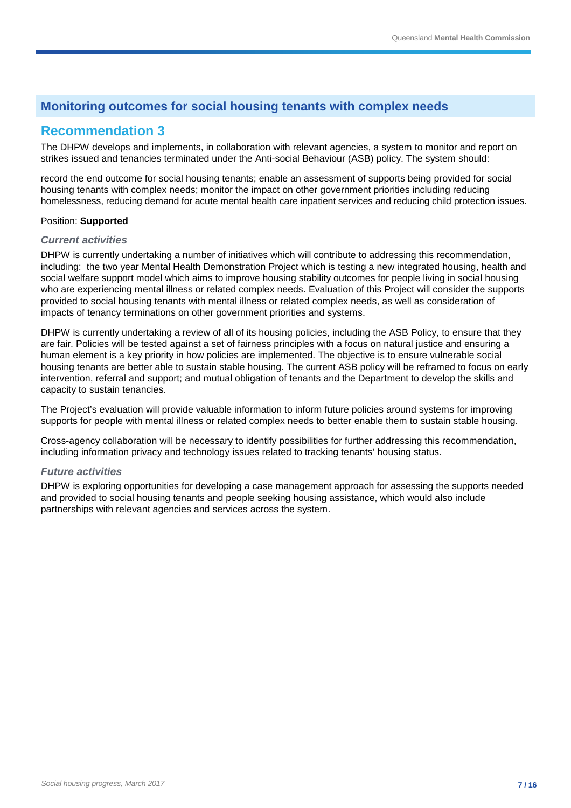# **Monitoring outcomes for social housing tenants with complex needs**

# **Recommendation 3**

The DHPW develops and implements, in collaboration with relevant agencies, a system to monitor and report on strikes issued and tenancies terminated under the Anti-social Behaviour (ASB) policy. The system should:

record the end outcome for social housing tenants; enable an assessment of supports being provided for social housing tenants with complex needs; monitor the impact on other government priorities including reducing homelessness, reducing demand for acute mental health care inpatient services and reducing child protection issues.

#### Position: **Supported**

#### *Current activities*

DHPW is currently undertaking a number of initiatives which will contribute to addressing this recommendation, including: the two year Mental Health Demonstration Project which is testing a new integrated housing, health and social welfare support model which aims to improve housing stability outcomes for people living in social housing who are experiencing mental illness or related complex needs. Evaluation of this Project will consider the supports provided to social housing tenants with mental illness or related complex needs, as well as consideration of impacts of tenancy terminations on other government priorities and systems.

DHPW is currently undertaking a review of all of its housing policies, including the ASB Policy, to ensure that they are fair. Policies will be tested against a set of fairness principles with a focus on natural justice and ensuring a human element is a key priority in how policies are implemented. The objective is to ensure vulnerable social housing tenants are better able to sustain stable housing. The current ASB policy will be reframed to focus on early intervention, referral and support; and mutual obligation of tenants and the Department to develop the skills and capacity to sustain tenancies.

The Project's evaluation will provide valuable information to inform future policies around systems for improving supports for people with mental illness or related complex needs to better enable them to sustain stable housing.

Cross-agency collaboration will be necessary to identify possibilities for further addressing this recommendation, including information privacy and technology issues related to tracking tenants' housing status.

#### *Future activities*

DHPW is exploring opportunities for developing a case management approach for assessing the supports needed and provided to social housing tenants and people seeking housing assistance, which would also include partnerships with relevant agencies and services across the system.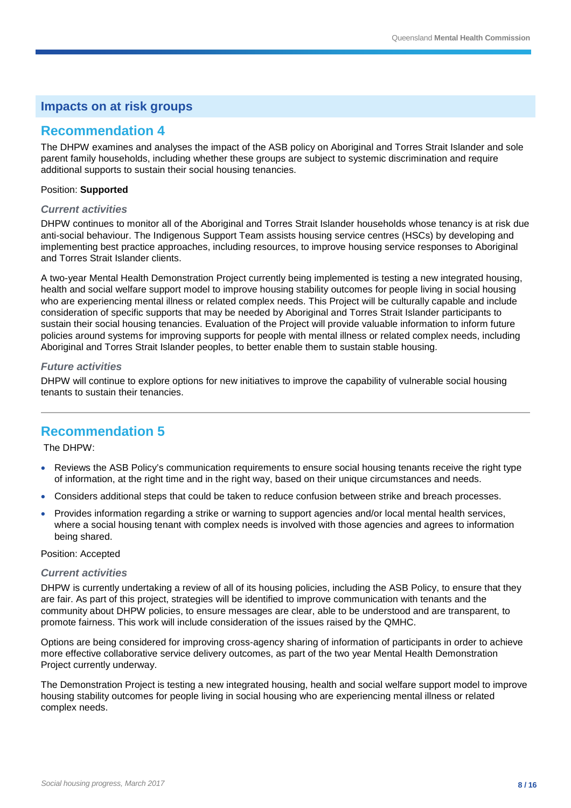### **Recommendation 4**

The DHPW examines and analyses the impact of the ASB policy on Aboriginal and Torres Strait Islander and sole parent family households, including whether these groups are subject to systemic discrimination and require additional supports to sustain their social housing tenancies.

#### Position: **Supported**

#### *Current activities*

DHPW continues to monitor all of the Aboriginal and Torres Strait Islander households whose tenancy is at risk due anti-social behaviour. The Indigenous Support Team assists housing service centres (HSCs) by developing and implementing best practice approaches, including resources, to improve housing service responses to Aboriginal and Torres Strait Islander clients.

A two-year Mental Health Demonstration Project currently being implemented is testing a new integrated housing, health and social welfare support model to improve housing stability outcomes for people living in social housing who are experiencing mental illness or related complex needs. This Project will be culturally capable and include consideration of specific supports that may be needed by Aboriginal and Torres Strait Islander participants to sustain their social housing tenancies. Evaluation of the Project will provide valuable information to inform future policies around systems for improving supports for people with mental illness or related complex needs, including Aboriginal and Torres Strait Islander peoples, to better enable them to sustain stable housing.

#### *Future activities*

DHPW will continue to explore options for new initiatives to improve the capability of vulnerable social housing tenants to sustain their tenancies.

# **Recommendation 5**

The DHPW:

- Reviews the ASB Policy's communication requirements to ensure social housing tenants receive the right type of information, at the right time and in the right way, based on their unique circumstances and needs.
- Considers additional steps that could be taken to reduce confusion between strike and breach processes.
- Provides information regarding a strike or warning to support agencies and/or local mental health services, where a social housing tenant with complex needs is involved with those agencies and agrees to information being shared.

#### Position: Accepted

#### *Current activities*

DHPW is currently undertaking a review of all of its housing policies, including the ASB Policy, to ensure that they are fair. As part of this project, strategies will be identified to improve communication with tenants and the community about DHPW policies, to ensure messages are clear, able to be understood and are transparent, to promote fairness. This work will include consideration of the issues raised by the QMHC.

Options are being considered for improving cross-agency sharing of information of participants in order to achieve more effective collaborative service delivery outcomes, as part of the two year Mental Health Demonstration Project currently underway.

The Demonstration Project is testing a new integrated housing, health and social welfare support model to improve housing stability outcomes for people living in social housing who are experiencing mental illness or related complex needs.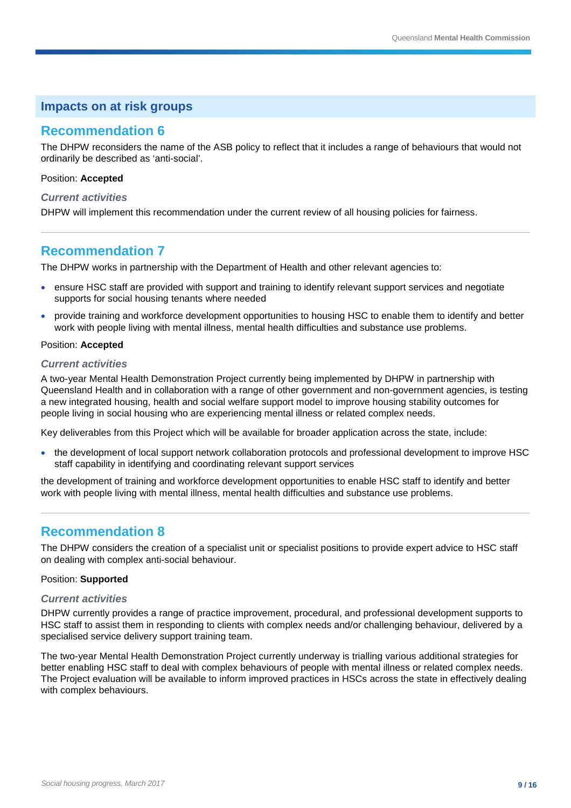### **Recommendation 6**

The DHPW reconsiders the name of the ASB policy to reflect that it includes a range of behaviours that would not ordinarily be described as 'anti-social'.

#### Position: **Accepted**

#### *Current activities*

DHPW will implement this recommendation under the current review of all housing policies for fairness.

### **Recommendation 7**

The DHPW works in partnership with the Department of Health and other relevant agencies to:

- ensure HSC staff are provided with support and training to identify relevant support services and negotiate supports for social housing tenants where needed
- provide training and workforce development opportunities to housing HSC to enable them to identify and better work with people living with mental illness, mental health difficulties and substance use problems.

#### Position: **Accepted**

#### *Current activities*

A two-year Mental Health Demonstration Project currently being implemented by DHPW in partnership with Queensland Health and in collaboration with a range of other government and non-government agencies, is testing a new integrated housing, health and social welfare support model to improve housing stability outcomes for people living in social housing who are experiencing mental illness or related complex needs.

Key deliverables from this Project which will be available for broader application across the state, include:

• the development of local support network collaboration protocols and professional development to improve HSC staff capability in identifying and coordinating relevant support services

the development of training and workforce development opportunities to enable HSC staff to identify and better work with people living with mental illness, mental health difficulties and substance use problems.

# **Recommendation 8**

The DHPW considers the creation of a specialist unit or specialist positions to provide expert advice to HSC staff on dealing with complex anti-social behaviour.

#### Position: **Supported**

#### *Current activities*

DHPW currently provides a range of practice improvement, procedural, and professional development supports to HSC staff to assist them in responding to clients with complex needs and/or challenging behaviour, delivered by a specialised service delivery support training team.

The two-year Mental Health Demonstration Project currently underway is trialling various additional strategies for better enabling HSC staff to deal with complex behaviours of people with mental illness or related complex needs. The Project evaluation will be available to inform improved practices in HSCs across the state in effectively dealing with complex behaviours.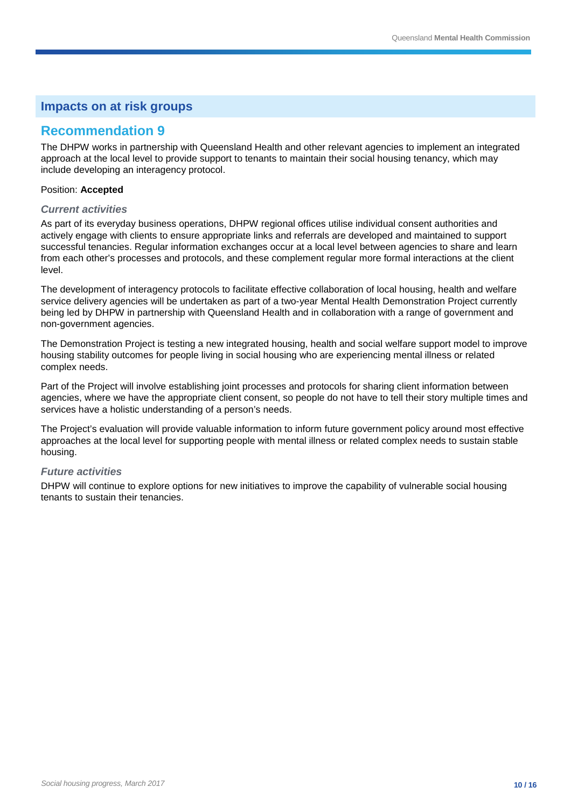### **Recommendation 9**

The DHPW works in partnership with Queensland Health and other relevant agencies to implement an integrated approach at the local level to provide support to tenants to maintain their social housing tenancy, which may include developing an interagency protocol.

#### Position: **Accepted**

#### *Current activities*

As part of its everyday business operations, DHPW regional offices utilise individual consent authorities and actively engage with clients to ensure appropriate links and referrals are developed and maintained to support successful tenancies. Regular information exchanges occur at a local level between agencies to share and learn from each other's processes and protocols, and these complement regular more formal interactions at the client level.

The development of interagency protocols to facilitate effective collaboration of local housing, health and welfare service delivery agencies will be undertaken as part of a two-year Mental Health Demonstration Project currently being led by DHPW in partnership with Queensland Health and in collaboration with a range of government and non-government agencies.

The Demonstration Project is testing a new integrated housing, health and social welfare support model to improve housing stability outcomes for people living in social housing who are experiencing mental illness or related complex needs.

Part of the Project will involve establishing joint processes and protocols for sharing client information between agencies, where we have the appropriate client consent, so people do not have to tell their story multiple times and services have a holistic understanding of a person's needs.

The Project's evaluation will provide valuable information to inform future government policy around most effective approaches at the local level for supporting people with mental illness or related complex needs to sustain stable housing.

#### *Future activities*

DHPW will continue to explore options for new initiatives to improve the capability of vulnerable social housing tenants to sustain their tenancies.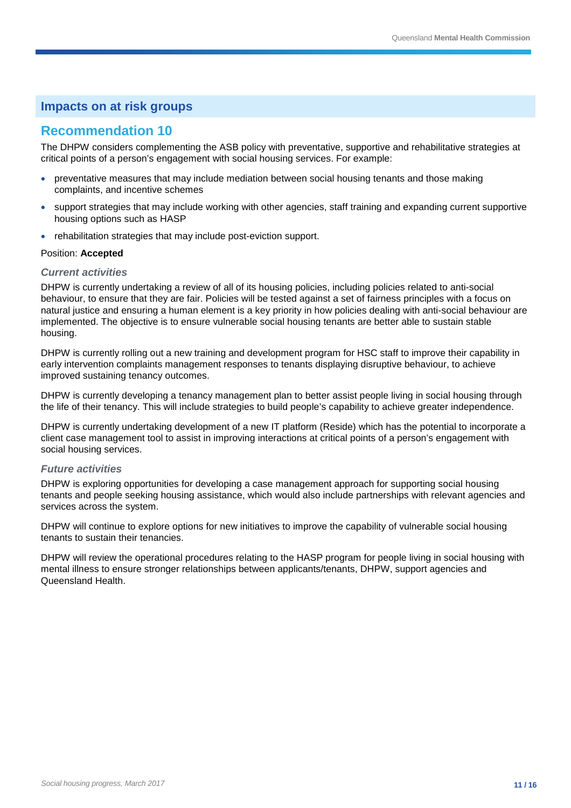# **Recommendation 10**

The DHPW considers complementing the ASB policy with preventative, supportive and rehabilitative strategies at critical points of a person's engagement with social housing services. For example:

- preventative measures that may include mediation between social housing tenants and those making complaints, and incentive schemes
- support strategies that may include working with other agencies, staff training and expanding current supportive housing options such as HASP
- rehabilitation strategies that may include post-eviction support.

#### Position: **Accepted**

#### *Current activities*

DHPW is currently undertaking a review of all of its housing policies, including policies related to anti-social behaviour, to ensure that they are fair. Policies will be tested against a set of fairness principles with a focus on natural justice and ensuring a human element is a key priority in how policies dealing with anti-social behaviour are implemented. The objective is to ensure vulnerable social housing tenants are better able to sustain stable housing.

DHPW is currently rolling out a new training and development program for HSC staff to improve their capability in early intervention complaints management responses to tenants displaying disruptive behaviour, to achieve improved sustaining tenancy outcomes.

DHPW is currently developing a tenancy management plan to better assist people living in social housing through the life of their tenancy. This will include strategies to build people's capability to achieve greater independence.

DHPW is currently undertaking development of a new IT platform (Reside) which has the potential to incorporate a client case management tool to assist in improving interactions at critical points of a person's engagement with social housing services.

#### *Future activities*

DHPW is exploring opportunities for developing a case management approach for supporting social housing tenants and people seeking housing assistance, which would also include partnerships with relevant agencies and services across the system.

DHPW will continue to explore options for new initiatives to improve the capability of vulnerable social housing tenants to sustain their tenancies.

DHPW will review the operational procedures relating to the HASP program for people living in social housing with mental illness to ensure stronger relationships between applicants/tenants, DHPW, support agencies and Queensland Health.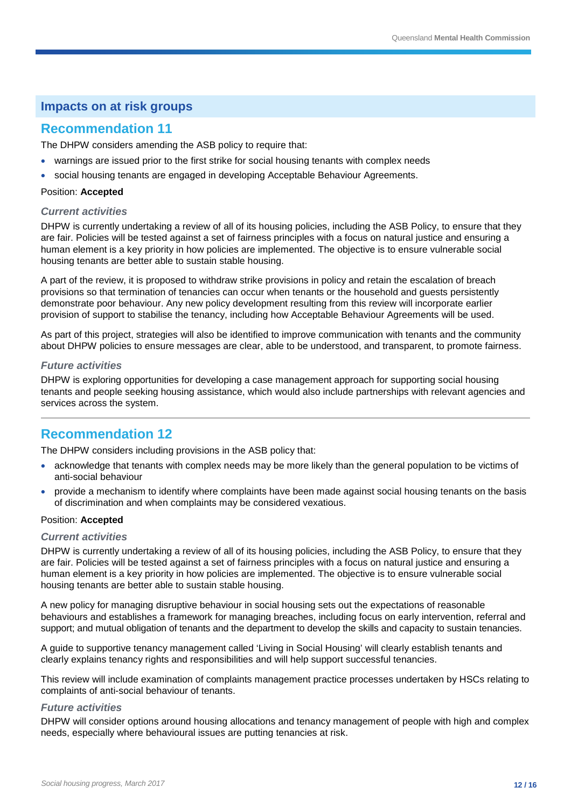### **Recommendation 11**

The DHPW considers amending the ASB policy to require that:

- warnings are issued prior to the first strike for social housing tenants with complex needs
- social housing tenants are engaged in developing Acceptable Behaviour Agreements.

#### Position: **Accepted**

#### *Current activities*

DHPW is currently undertaking a review of all of its housing policies, including the ASB Policy, to ensure that they are fair. Policies will be tested against a set of fairness principles with a focus on natural justice and ensuring a human element is a key priority in how policies are implemented. The objective is to ensure vulnerable social housing tenants are better able to sustain stable housing.

A part of the review, it is proposed to withdraw strike provisions in policy and retain the escalation of breach provisions so that termination of tenancies can occur when tenants or the household and guests persistently demonstrate poor behaviour. Any new policy development resulting from this review will incorporate earlier provision of support to stabilise the tenancy, including how Acceptable Behaviour Agreements will be used.

As part of this project, strategies will also be identified to improve communication with tenants and the community about DHPW policies to ensure messages are clear, able to be understood, and transparent, to promote fairness.

#### *Future activities*

DHPW is exploring opportunities for developing a case management approach for supporting social housing tenants and people seeking housing assistance, which would also include partnerships with relevant agencies and services across the system.

# **Recommendation 12**

The DHPW considers including provisions in the ASB policy that:

- acknowledge that tenants with complex needs may be more likely than the general population to be victims of anti-social behaviour
- provide a mechanism to identify where complaints have been made against social housing tenants on the basis of discrimination and when complaints may be considered vexatious.

#### Position: **Accepted**

#### *Current activities*

DHPW is currently undertaking a review of all of its housing policies, including the ASB Policy, to ensure that they are fair. Policies will be tested against a set of fairness principles with a focus on natural justice and ensuring a human element is a key priority in how policies are implemented. The objective is to ensure vulnerable social housing tenants are better able to sustain stable housing.

A new policy for managing disruptive behaviour in social housing sets out the expectations of reasonable behaviours and establishes a framework for managing breaches, including focus on early intervention, referral and support; and mutual obligation of tenants and the department to develop the skills and capacity to sustain tenancies.

A guide to supportive tenancy management called 'Living in Social Housing' will clearly establish tenants and clearly explains tenancy rights and responsibilities and will help support successful tenancies.

This review will include examination of complaints management practice processes undertaken by HSCs relating to complaints of anti-social behaviour of tenants.

#### *Future activities*

DHPW will consider options around housing allocations and tenancy management of people with high and complex needs, especially where behavioural issues are putting tenancies at risk.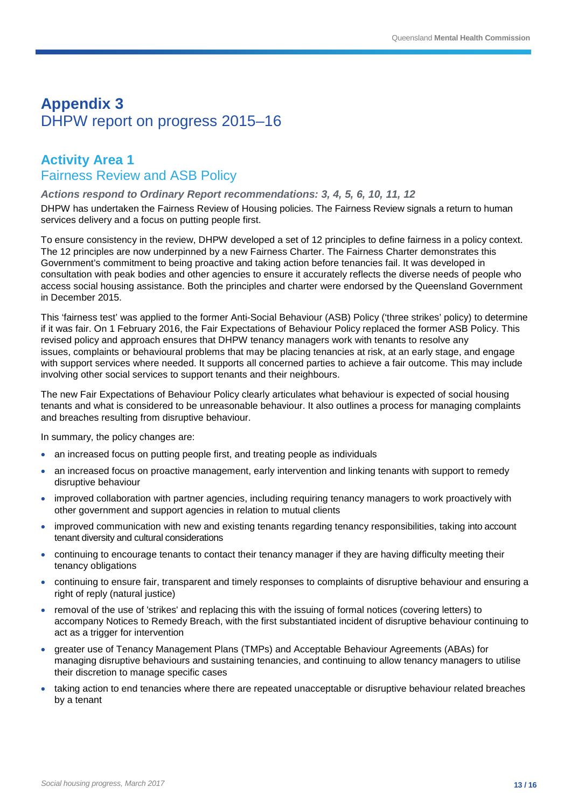# **Appendix 3** DHPW report on progress 2015–16

# **Activity Area 1** Fairness Review and ASB Policy

#### *Actions respond to Ordinary Report recommendations: 3, 4, 5, 6, 10, 11, 12*

DHPW has undertaken the Fairness Review of Housing policies. The Fairness Review signals a return to human services delivery and a focus on putting people first.

To ensure consistency in the review, DHPW developed a set of 12 principles to define fairness in a policy context. The 12 principles are now underpinned by a new [Fairness Charter.](http://www.hpw.qld.gov.au/SiteCollectionDocuments/FairnessCharter.PDF) The Fairness Charter demonstrates this Government's commitment to being proactive and taking action before tenancies fail. It was developed in consultation with peak bodies and other agencies to ensure it accurately reflects the diverse needs of people who access social housing assistance. Both the principles and charter were endorsed by the Queensland Government in December 2015.

This 'fairness test' was applied to the former Anti-Social Behaviour (ASB) Policy ('three strikes' policy) to determine if it was fair. On 1 February 2016, the Fair Expectations of Behaviour Policy replaced the former ASB Policy. This revised policy and approach ensures that DHPW tenancy managers work with tenants to resolve any issues, complaints or behavioural problems that may be placing tenancies at risk, at an early stage, and engage with support services where needed. It supports all concerned parties to achieve a fair outcome. This may include involving other social services to support tenants and their neighbours.

The new Fair Expectations of Behaviour Policy clearly articulates what behaviour is expected of social housing tenants and what is considered to be unreasonable behaviour. It also outlines a process for managing complaints and breaches resulting from disruptive behaviour.

In summary, the policy changes are:

- an increased focus on putting people first, and treating people as individuals
- an increased focus on proactive management, early intervention and linking tenants with support to remedy disruptive behaviour
- improved collaboration with partner agencies, including requiring tenancy managers to work proactively with other government and support agencies in relation to mutual clients
- improved communication with new and existing tenants regarding tenancy responsibilities, taking into account tenant diversity and cultural considerations
- continuing to encourage tenants to contact their tenancy manager if they are having difficulty meeting their tenancy obligations
- continuing to ensure fair, transparent and timely responses to complaints of disruptive behaviour and ensuring a right of reply (natural justice)
- removal of the use of 'strikes' and replacing this with the issuing of formal notices (covering letters) to accompany Notices to Remedy Breach, with the first substantiated incident of disruptive behaviour continuing to act as a trigger for intervention
- greater use of Tenancy Management Plans (TMPs) and Acceptable Behaviour Agreements (ABAs) for managing disruptive behaviours and sustaining tenancies, and continuing to allow tenancy managers to utilise their discretion to manage specific cases
- taking action to end tenancies where there are repeated unacceptable or disruptive behaviour related breaches by a tenant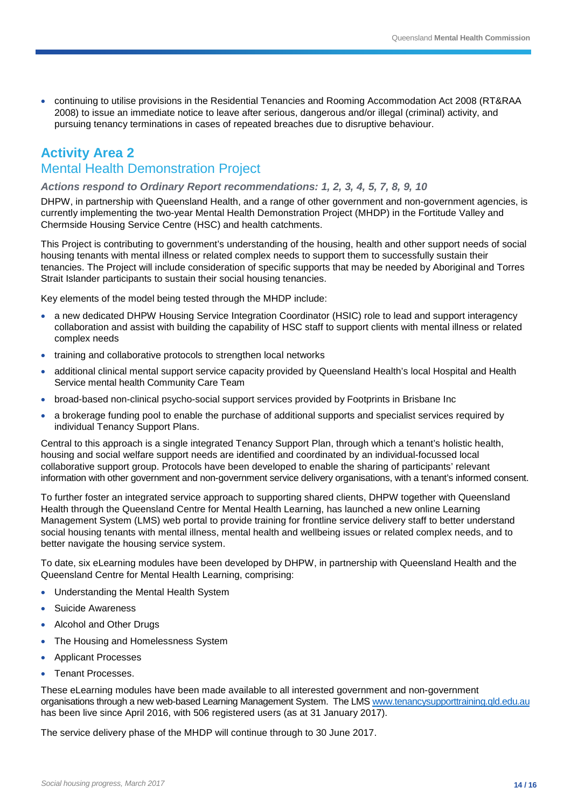• continuing to utilise provisions in the Residential Tenancies and Rooming Accommodation Act 2008 (RT&RAA 2008) to issue an immediate notice to leave after serious, dangerous and/or illegal (criminal) activity, and pursuing tenancy terminations in cases of repeated breaches due to disruptive behaviour.

# **Activity Area 2** Mental Health Demonstration Project

#### *Actions respond to Ordinary Report recommendations: 1, 2, 3, 4, 5, 7, 8, 9, 10*

DHPW, in partnership with Queensland Health, and a range of other government and non-government agencies, is currently implementing the two-year Mental Health Demonstration Project (MHDP) in the Fortitude Valley and Chermside Housing Service Centre (HSC) and health catchments.

This Project is contributing to government's understanding of the housing, health and other support needs of social housing tenants with mental illness or related complex needs to support them to successfully sustain their tenancies. The Project will include consideration of specific supports that may be needed by Aboriginal and Torres Strait Islander participants to sustain their social housing tenancies.

Key elements of the model being tested through the MHDP include:

- a new dedicated DHPW Housing Service Integration Coordinator (HSIC) role to lead and support interagency collaboration and assist with building the capability of HSC staff to support clients with mental illness or related complex needs
- training and collaborative protocols to strengthen local networks
- additional clinical mental support service capacity provided by Queensland Health's local Hospital and Health Service mental health Community Care Team
- broad-based non-clinical psycho-social support services provided by Footprints in Brisbane Inc
- a brokerage funding pool to enable the purchase of additional supports and specialist services required by individual Tenancy Support Plans.

Central to this approach is a single integrated Tenancy Support Plan, through which a tenant's holistic health, housing and social welfare support needs are identified and coordinated by an individual-focussed local collaborative support group. Protocols have been developed to enable the sharing of participants' relevant information with other government and non-government service delivery organisations, with a tenant's informed consent.

To further foster an integrated service approach to supporting shared clients, DHPW together with Queensland Health through the Queensland Centre for Mental Health Learning, has launched a new online Learning Management System (LMS) web portal to provide training for frontline service delivery staff to better understand social housing tenants with mental illness, mental health and wellbeing issues or related complex needs, and to better navigate the housing service system.

To date, six eLearning modules have been developed by DHPW, in partnership with Queensland Health and the Queensland Centre for Mental Health Learning, comprising:

- Understanding the Mental Health System
- Suicide Awareness
- Alcohol and Other Drugs
- The Housing and Homelessness System
- Applicant Processes
- Tenant Processes.

These eLearning modules have been made available to all interested government and non-government organisations through a new web-based Learning Management System. The LMS [www.tenancysupporttraining.qld.edu.au](http://www.tenancysupporttraining.qld.edu.au/) has been live since April 2016, with 506 registered users (as at 31 January 2017).

The service delivery phase of the MHDP will continue through to 30 June 2017.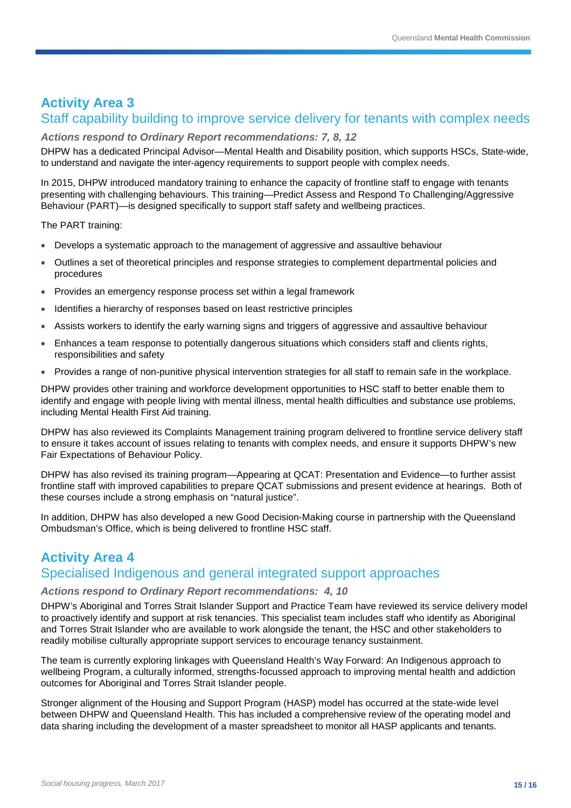# **Activity Area 3** Staff capability building to improve service delivery for tenants with complex needs

#### *Actions respond to Ordinary Report recommendations: 7, 8, 12*

DHPW has a dedicated Principal Advisor—Mental Health and Disability position, which supports HSCs, State-wide, to understand and navigate the inter-agency requirements to support people with complex needs.

In 2015, DHPW introduced mandatory training to enhance the capacity of frontline staff to engage with tenants presenting with challenging behaviours. This training—Predict Assess and Respond To Challenging/Aggressive Behaviour (PART)—is designed specifically to support staff safety and wellbeing practices.

The PART training:

- Develops a systematic approach to the management of aggressive and assaultive behaviour
- Outlines a set of theoretical principles and response strategies to complement departmental policies and procedures
- Provides an emergency response process set within a legal framework
- Identifies a hierarchy of responses based on least restrictive principles
- Assists workers to identify the early warning signs and triggers of aggressive and assaultive behaviour
- Enhances a team response to potentially dangerous situations which considers staff and clients rights, responsibilities and safety
- Provides a range of non-punitive physical intervention strategies for all staff to remain safe in the workplace.

DHPW provides other training and workforce development opportunities to HSC staff to better enable them to identify and engage with people living with mental illness, mental health difficulties and substance use problems, including Mental Health First Aid training.

DHPW has also reviewed its Complaints Management training program delivered to frontline service delivery staff to ensure it takes account of issues relating to tenants with complex needs, and ensure it supports DHPW's new Fair Expectations of Behaviour Policy.

DHPW has also revised its training program—Appearing at QCAT: Presentation and Evidence—to further assist frontline staff with improved capabilities to prepare QCAT submissions and present evidence at hearings. Both of these courses include a strong emphasis on "natural justice".

In addition, DHPW has also developed a new Good Decision-Making course in partnership with the Queensland Ombudsman's Office, which is being delivered to frontline HSC staff.

# **Activity Area 4**

# Specialised Indigenous and general integrated support approaches

#### *Actions respond to Ordinary Report recommendations: 4, 10*

DHPW's Aboriginal and Torres Strait Islander Support and Practice Team have reviewed its service delivery model to proactively identify and support at risk tenancies. This specialist team includes staff who identify as Aboriginal and Torres Strait Islander who are available to work alongside the tenant, the HSC and other stakeholders to readily mobilise culturally appropriate support services to encourage tenancy sustainment.

The team is currently exploring linkages with Queensland Health's Way Forward: An Indigenous approach to wellbeing Program, a culturally informed, strengths-focussed approach to improving mental health and addiction outcomes for Aboriginal and Torres Strait Islander people.

Stronger alignment of the Housing and Support Program (HASP) model has occurred at the state-wide level between DHPW and Queensland Health. This has included a comprehensive review of the operating model and data sharing including the development of a master spreadsheet to monitor all HASP applicants and tenants.